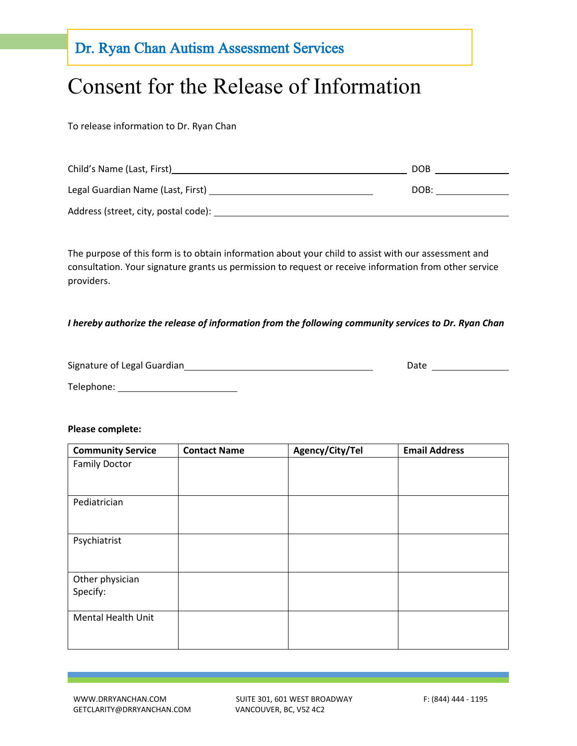### Dr. Ryan Chan Autism Assessment Services

### Consent for the Release of Information

To release information to Dr. Ryan Chan

| Child's Name (Last, First)           | <b>DOB</b> |
|--------------------------------------|------------|
| Legal Guardian Name (Last, First)    | DOB:       |
| Address (street, city, postal code): |            |

The purpose of this form is to obtain information about your child to assist with our assessment and consultation. Your signature grants us permission to request or receive information from other service providers.

#### *I hereby authorize the release of information from the following community services to Dr. Ryan Chan*

| Signature of Legal Guardian | Date |  |
|-----------------------------|------|--|
| Telephone:                  |      |  |

#### **Please complete:**

| <b>Community Service</b>  | <b>Contact Name</b> | Agency/City/Tel | <b>Email Address</b> |
|---------------------------|---------------------|-----------------|----------------------|
| <b>Family Doctor</b>      |                     |                 |                      |
|                           |                     |                 |                      |
| Pediatrician              |                     |                 |                      |
|                           |                     |                 |                      |
| Psychiatrist              |                     |                 |                      |
|                           |                     |                 |                      |
| Other physician           |                     |                 |                      |
| Specify:                  |                     |                 |                      |
| <b>Mental Health Unit</b> |                     |                 |                      |
|                           |                     |                 |                      |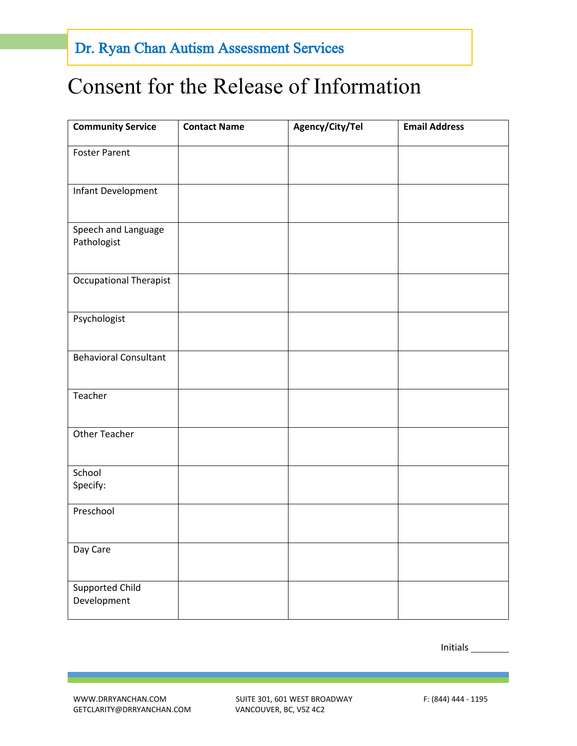## Consent for the Release of Information

| <b>Community Service</b>           | <b>Contact Name</b> | Agency/City/Tel | <b>Email Address</b> |
|------------------------------------|---------------------|-----------------|----------------------|
| <b>Foster Parent</b>               |                     |                 |                      |
| Infant Development                 |                     |                 |                      |
| Speech and Language<br>Pathologist |                     |                 |                      |
| <b>Occupational Therapist</b>      |                     |                 |                      |
| Psychologist                       |                     |                 |                      |
| <b>Behavioral Consultant</b>       |                     |                 |                      |
| Teacher                            |                     |                 |                      |
| <b>Other Teacher</b>               |                     |                 |                      |
| School<br>Specify:                 |                     |                 |                      |
| Preschool                          |                     |                 |                      |
| Day Care                           |                     |                 |                      |
| Supported Child<br>Development     |                     |                 |                      |

Initials